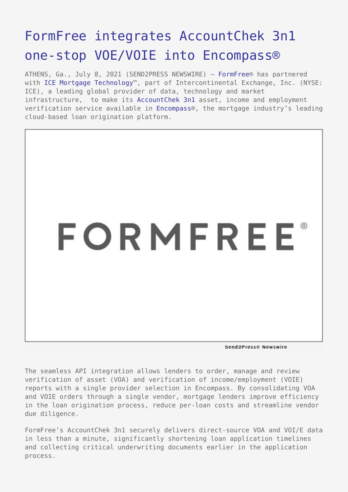# [FormFree integrates AccountChek 3n1](https://www.send2press.com/wire/formfree-integrates-accountchek-3n1-one-stop-voe-voie-into-encompass/) [one-stop VOE/VOIE into Encompass®](https://www.send2press.com/wire/formfree-integrates-accountchek-3n1-one-stop-voe-voie-into-encompass/)

ATHENS, Ga., July 8, 2021 (SEND2PRESS NEWSWIRE) — [FormFree®](https://www.formfree.com/) has partnered with [ICE Mortgage Technology™](https://www.icemortgagetechnology.com/), part of Intercontinental Exchange, Inc. (NYSE: ICE), a leading global provider of data, technology and market infrastructure,  to make its [AccountChek 3n1](https://www.formfree.com/products/accountchek-3n1/) asset, income and employment verification service available in [Encompass](https://www.icemortgagetechnology.com/encompass)®, the mortgage industry's leading cloud-based loan origination platform.



Send2Press@ Newswire

The seamless API integration allows lenders to order, manage and review verification of asset (VOA) and verification of income/employment (VOIE) reports with a single provider selection in Encompass. By consolidating VOA and VOIE orders through a single vendor, mortgage lenders improve efficiency in the loan origination process, reduce per-loan costs and streamline vendor due diligence.

FormFree's AccountChek 3n1 securely delivers direct-source VOA and VOI/E data in less than a minute, significantly shortening loan application timelines and collecting critical underwriting documents earlier in the application process.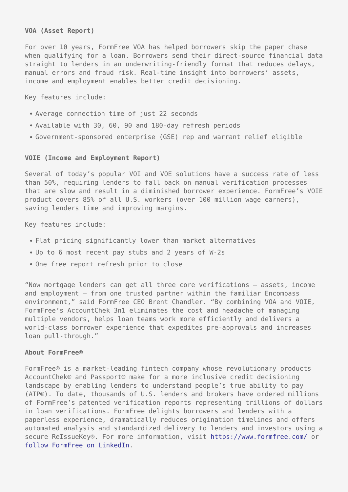### **VOA (Asset Report)**

For over 10 years, FormFree VOA has helped borrowers skip the paper chase when qualifying for a loan. Borrowers send their direct-source financial data straight to lenders in an underwriting-friendly format that reduces delays, manual errors and fraud risk. Real-time insight into borrowers' assets, income and employment enables better credit decisioning.

Key features include:

- Average connection time of just 22 seconds
- Available with 30, 60, 90 and 180-day refresh periods
- Government-sponsored enterprise (GSE) rep and warrant relief eligible

### **VOIE (Income and Employment Report)**

Several of today's popular VOI and VOE solutions have a success rate of less than 50%, requiring lenders to fall back on manual verification processes that are slow and result in a diminished borrower experience. FormFree's VOIE product covers 85% of all U.S. workers (over 100 million wage earners), saving lenders time and improving margins.

Key features include:

- Flat pricing significantly lower than market alternatives
- Up to 6 most recent pay stubs and 2 years of W-2s
- One free report refresh prior to close

"Now mortgage lenders can get all three core verifications — assets, income and employment — from one trusted partner within the familiar Encompass environment," said FormFree CEO Brent Chandler. "By combining VOA and VOIE, FormFree's AccountChek 3n1 eliminates the cost and headache of managing multiple vendors, helps loan teams work more efficiently and delivers a world-class borrower experience that expedites pre-approvals and increases loan pull-through."

#### **About FormFree®**

FormFree® is a market-leading fintech company whose revolutionary products AccountChek® and Passport® make for a more inclusive credit decisioning landscape by enabling lenders to understand people's true ability to pay (ATP®). To date, thousands of U.S. lenders and brokers have ordered millions of FormFree's patented verification reports representing trillions of dollars in loan verifications. FormFree delights borrowers and lenders with a paperless experience, dramatically reduces origination timelines and offers automated analysis and standardized delivery to lenders and investors using a secure ReIssueKey®. For more information, visit<https://www.formfree.com/>or [follow FormFree on LinkedIn](https://www.linkedin.com/company/formfree-holdings-corporation/).